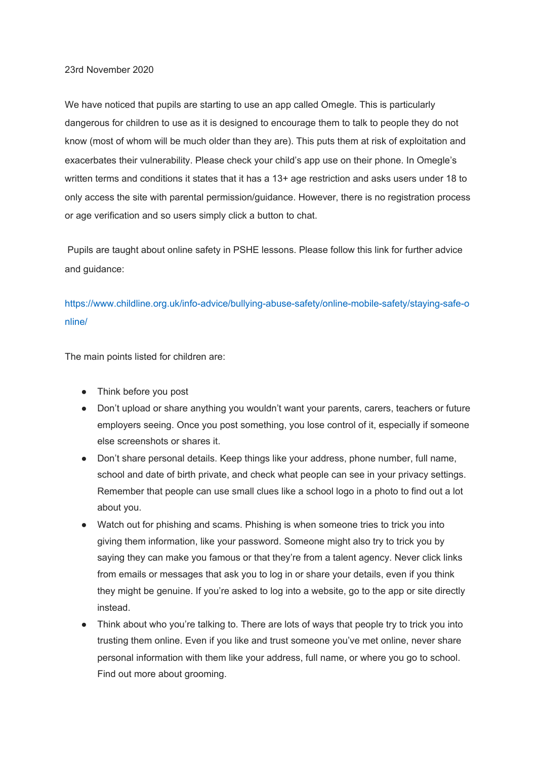## 23rd November 2020

We have noticed that pupils are starting to use an app called Omegle. This is particularly dangerous for children to use as it is designed to encourage them to talk to people they do not know (most of whom will be much older than they are). This puts them at risk of exploitation and exacerbates their vulnerability. Please check your child's app use on their phone. In Omegle's written terms and conditions it states that it has a 13+ age restriction and asks users under 18 to only access the site with parental permission/guidance. However, there is no registration process or age verification and so users simply click a button to chat.

 Pupils are taught about online safety in PSHE lessons. Please follow this link for further advice and guidance:

[https://www.childline.org.uk/info-advice/bullying-abuse-safety/online-mobile-safety/staying-safe-o](https://www.childline.org.uk/info-advice/bullying-abuse-safety/online-mobile-safety/staying-safe-online/) [nline/](https://www.childline.org.uk/info-advice/bullying-abuse-safety/online-mobile-safety/staying-safe-online/)

The main points listed for children are:

- Think before you post
- Don't upload or share anything you wouldn't want your parents, carers, teachers or future employers seeing. Once you post something, you lose control of it, especially if someone else screenshots or shares it.
- Don't share personal details. Keep things like your address, phone number, full name, school and date of birth private, and check what people can see in your privacy settings. Remember that people can use small clues like a school logo in a photo to find out a lot about you.
- Watch out for phishing and scams. Phishing is when someone tries to trick you into giving them information, like your password. Someone might also try to trick you by saying they can make you famous or that they're from a talent agency. Never click links from emails or messages that ask you to log in or share your details, even if you think they might be genuine. If you're asked to log into a website, go to the app or site directly instead.
- Think about who you're talking to. There are lots of ways that people try to trick you into trusting them online. Even if you like and trust someone you've met online, never share personal information with them like your address, full name, or where you go to school. Find out more about grooming.